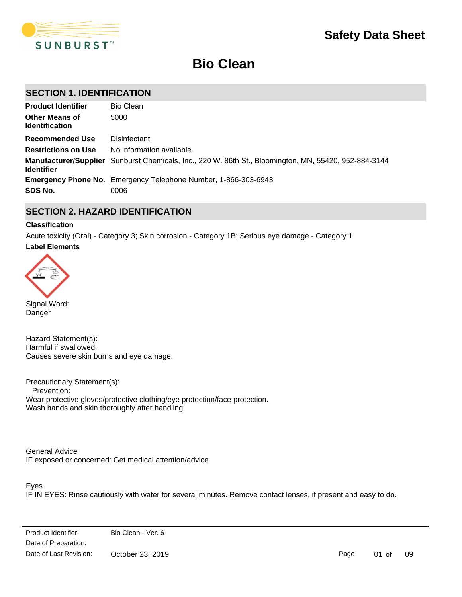

# **Bio Clean**

# **SECTION 1. IDENTIFICATION**

| <b>Product Identifier</b>                      | <b>Bio Clean</b>                                                                                      |
|------------------------------------------------|-------------------------------------------------------------------------------------------------------|
| <b>Other Means of</b><br><b>Identification</b> | 5000                                                                                                  |
| Recommended Use                                | Disinfectant.                                                                                         |
| <b>Restrictions on Use</b>                     | No information available.                                                                             |
| <b>Identifier</b>                              | Manufacturer/Supplier Sunburst Chemicals, Inc., 220 W. 86th St., Bloomington, MN, 55420, 952-884-3144 |
|                                                | <b>Emergency Phone No.</b> Emergency Telephone Number, 1-866-303-6943                                 |
| SDS No.                                        | 0006                                                                                                  |

# **SECTION 2. HAZARD IDENTIFICATION**

### **Classification**

**Label Elements** Acute toxicity (Oral) - Category 3; Skin corrosion - Category 1B; Serious eye damage - Category 1



Danger

Hazard Statement(s): Harmful if swallowed. Causes severe skin burns and eye damage.

Precautionary Statement(s): Prevention: Wear protective gloves/protective clothing/eye protection/face protection. Wash hands and skin thoroughly after handling.

General Advice IF exposed or concerned: Get medical attention/advice

Eyes

IF IN EYES: Rinse cautiously with water for several minutes. Remove contact lenses, if present and easy to do.

...............<br>Date of Preparation: Date of Fieparation:  $T_{\text{max}}$ Date of Last Revision: October 23, 2019 Product Identifier: Bio Clean - Ver. 6

Page 01 of 09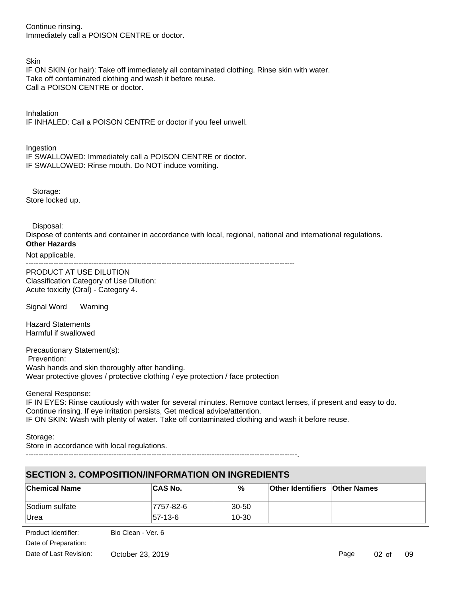Continue rinsing. Immediately call a POISON CENTRE or doctor.

**Skin** 

IF ON SKIN (or hair): Take off immediately all contaminated clothing. Rinse skin with water. Take off contaminated clothing and wash it before reuse. Call a POISON CENTRE or doctor.

Inhalation IF INHALED: Call a POISON CENTRE or doctor if you feel unwell.

Ingestion IF SWALLOWED: Immediately call a POISON CENTRE or doctor. IF SWALLOWED: Rinse mouth. Do NOT induce vomiting.

 Storage: Store locked up.

Disposal:

Dispose of contents and container in accordance with local, regional, national and international regulations. **Other Hazards**

Not applicable.

-----------------------------------------------------------------------------------------------------------

PRODUCT AT USE DILUTION Classification Category of Use Dilution: Acute toxicity (Oral) - Category 4.

Signal Word Warning

Hazard Statements Harmful if swallowed

Precautionary Statement(s): Prevention: Wash hands and skin thoroughly after handling. Wear protective gloves / protective clothing / eye protection / face protection

General Response:

IF IN EYES: Rinse cautiously with water for several minutes. Remove contact lenses, if present and easy to do. Continue rinsing. If eye irritation persists, Get medical advice/attention. IF ON SKIN: Wash with plenty of water. Take off contaminated clothing and wash it before reuse.

Storage: Store in accordance with local regulations.

------------------------------------------------------------------------------------------------------------.

# **SECTION 3. COMPOSITION/INFORMATION ON INGREDIENTS**

| <b>Chemical Name</b> | <b>CAS No.</b> | %         | <b>Other Identifiers Other Names</b> |  |
|----------------------|----------------|-----------|--------------------------------------|--|
| Sodium sulfate       | 7757-82-6      | $30 - 50$ |                                      |  |
| <b>Urea</b>          | $ 57-13-6 $    | $10 - 30$ |                                      |  |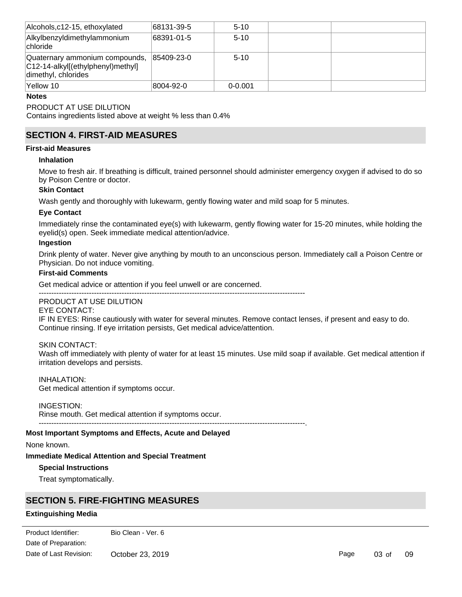| Alcohols,c12-15, ethoxylated                                                               | 68131-39-5 | $5 - 10$    |  |
|--------------------------------------------------------------------------------------------|------------|-------------|--|
| Alkylbenzyldimethylammonium<br><b>chloride</b>                                             | 68391-01-5 | $5 - 10$    |  |
| Quaternary ammonium compounds,<br>C12-14-alkyl[(ethylphenyl)methyl]<br>dimethyl, chlorides | 85409-23-0 | $5 - 10$    |  |
| Yellow 10                                                                                  | 8004-92-0  | $0 - 0.001$ |  |

#### **Notes**

### PRODUCT AT USE DILUTION

Contains ingredients listed above at weight % less than 0.4%

# **SECTION 4. FIRST-AID MEASURES**

### **First-aid Measures**

#### **Inhalation**

Move to fresh air. If breathing is difficult, trained personnel should administer emergency oxygen if advised to do so by Poison Centre or doctor.

#### **Skin Contact**

Wash gently and thoroughly with lukewarm, gently flowing water and mild soap for 5 minutes.

### **Eye Contact**

Immediately rinse the contaminated eye(s) with lukewarm, gently flowing water for 15-20 minutes, while holding the eyelid(s) open. Seek immediate medical attention/advice.

#### **Ingestion**

Drink plenty of water. Never give anything by mouth to an unconscious person. Immediately call a Poison Centre or Physician. Do not induce vomiting.

### **First-aid Comments**

Get medical advice or attention if you feel unwell or are concerned.

#### ---------------------------------------------------------------------------------------------------------- PRODUCT AT USE DILUTION

# EYE CONTACT:

IF IN EYES: Rinse cautiously with water for several minutes. Remove contact lenses, if present and easy to do. Continue rinsing. If eye irritation persists, Get medical advice/attention.

#### SKIN CONTACT:

Wash off immediately with plenty of water for at least 15 minutes. Use mild soap if available. Get medical attention if irritation develops and persists.

### INHALATION:

Get medical attention if symptoms occur.

### INGESTION:

Rinse mouth. Get medical attention if symptoms occur.

#### ----------------------------------------------------------------------------------------------------------.

#### **Most Important Symptoms and Effects, Acute and Delayed**

None known.

### **Immediate Medical Attention and Special Treatment**

### **Special Instructions**

Treat symptomatically.

### **SECTION 5. FIRE-FIGHTING MEASURES**

### **Extinguishing Media**

Date of Preparation: Product Identifier: Bio Clean - Ver. 6 Date of Last Revision: October 23, 2019

**Suitable Extinguishing Media**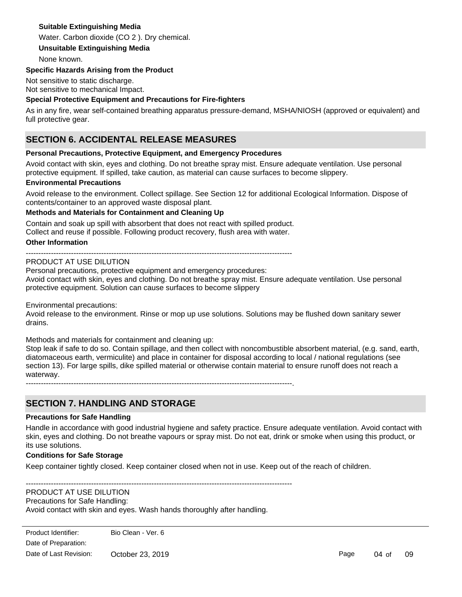### **Suitable Extinguishing Media**

Water. Carbon dioxide (CO 2 ). Dry chemical.

**Unsuitable Extinguishing Media**

None known.

### **Specific Hazards Arising from the Product**

Not sensitive to static discharge. Not sensitive to mechanical Impact.

### **Special Protective Equipment and Precautions for Fire-fighters**

As in any fire, wear self-contained breathing apparatus pressure-demand, MSHA/NIOSH (approved or equivalent) and full protective gear.

# **SECTION 6. ACCIDENTAL RELEASE MEASURES**

### **Personal Precautions, Protective Equipment, and Emergency Procedures**

Avoid contact with skin, eyes and clothing. Do not breathe spray mist. Ensure adequate ventilation. Use personal protective equipment. If spilled, take caution, as material can cause surfaces to become slippery.

### **Environmental Precautions**

Avoid release to the environment. Collect spillage. See Section 12 for additional Ecological Information. Dispose of contents/container to an approved waste disposal plant.

### **Methods and Materials for Containment and Cleaning Up**

Contain and soak up spill with absorbent that does not react with spilled product. Collect and reuse if possible. Following product recovery, flush area with water.

### **Other Information**

----------------------------------------------------------------------------------------------------------

### PRODUCT AT USE DILUTION

Personal precautions, protective equipment and emergency procedures:

Avoid contact with skin, eyes and clothing. Do not breathe spray mist. Ensure adequate ventilation. Use personal protective equipment. Solution can cause surfaces to become slippery

Environmental precautions:

Avoid release to the environment. Rinse or mop up use solutions. Solutions may be flushed down sanitary sewer drains.

Methods and materials for containment and cleaning up:

Stop leak if safe to do so. Contain spillage, and then collect with noncombustible absorbent material, (e.g. sand, earth, diatomaceous earth, vermiculite) and place in container for disposal according to local / national regulations (see section 13). For large spills, dike spilled material or otherwise contain material to ensure runoff does not reach a waterway.

----------------------------------------------------------------------------------------------------------.

# **SECTION 7. HANDLING AND STORAGE**

### **Precautions for Safe Handling**

Handle in accordance with good industrial hygiene and safety practice. Ensure adequate ventilation. Avoid contact with skin, eyes and clothing. Do not breathe vapours or spray mist. Do not eat, drink or smoke when using this product, or its use solutions.

### **Conditions for Safe Storage**

Keep container tightly closed. Keep container closed when not in use. Keep out of the reach of children.

----------------------------------------------------------------------------------------------------------

### PRODUCT AT USE DILUTION

Precautions for Safe Handling:

Avoid contact with skin and eyes. Wash hands thoroughly after handling.

Page 04 of 09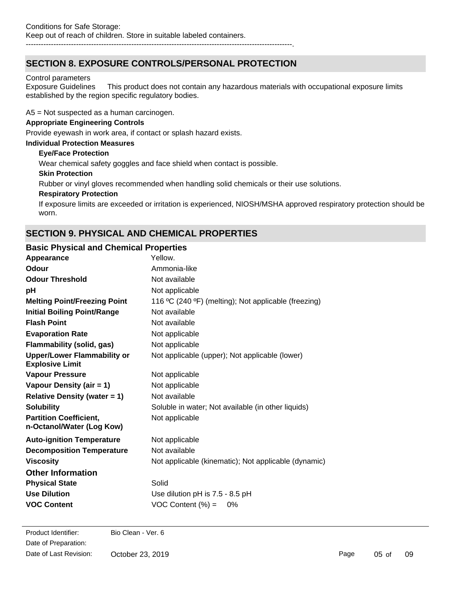# **SECTION 8. EXPOSURE CONTROLS/PERSONAL PROTECTION**

### Control parameters

Exposure Guidelines This product does not contain any hazardous materials with occupational exposure limits established by the region specific regulatory bodies.

A5 = Not suspected as a human carcinogen.

### **Appropriate Engineering Controls**

Provide eyewash in work area, if contact or splash hazard exists.

### **Individual Protection Measures**

### **Eye/Face Protection**

Wear chemical safety goggles and face shield when contact is possible.

### **Skin Protection**

Rubber or vinyl gloves recommended when handling solid chemicals or their use solutions.

### **Respiratory Protection**

If exposure limits are exceeded or irritation is experienced, NIOSH/MSHA approved respiratory protection should be worn.

# **SECTION 9. PHYSICAL AND CHEMICAL PROPERTIES**

### **Basic Physical and Chemical Properties**

| Appearance                                                   | Yellow.                                              |
|--------------------------------------------------------------|------------------------------------------------------|
| Odour                                                        | Ammonia-like                                         |
| <b>Odour Threshold</b>                                       | Not available                                        |
| рH                                                           | Not applicable                                       |
| <b>Melting Point/Freezing Point</b>                          | 116 °C (240 °F) (melting); Not applicable (freezing) |
| <b>Initial Boiling Point/Range</b>                           | Not available                                        |
| <b>Flash Point</b>                                           | Not available                                        |
| <b>Evaporation Rate</b>                                      | Not applicable                                       |
| <b>Flammability (solid, gas)</b>                             | Not applicable                                       |
| <b>Upper/Lower Flammability or</b><br><b>Explosive Limit</b> | Not applicable (upper); Not applicable (lower)       |
| <b>Vapour Pressure</b>                                       | Not applicable                                       |
| Vapour Density (air = 1)                                     | Not applicable                                       |
| <b>Relative Density (water = 1)</b>                          | Not available                                        |
| <b>Solubility</b>                                            | Soluble in water; Not available (in other liquids)   |
| <b>Partition Coefficient,</b><br>n-Octanol/Water (Log Kow)   | Not applicable                                       |
| <b>Auto-ignition Temperature</b>                             | Not applicable                                       |
| <b>Decomposition Temperature</b>                             | Not available                                        |
| <b>Viscosity</b>                                             | Not applicable (kinematic); Not applicable (dynamic) |
| <b>Other Information</b>                                     |                                                      |
| <b>Physical State</b>                                        | Solid                                                |
| <b>Use Dilution</b>                                          | Use dilution pH is 7.5 - 8.5 pH                      |
| <b>VOC Content</b>                                           | VOC Content $(\%) =$<br>0%                           |
|                                                              |                                                      |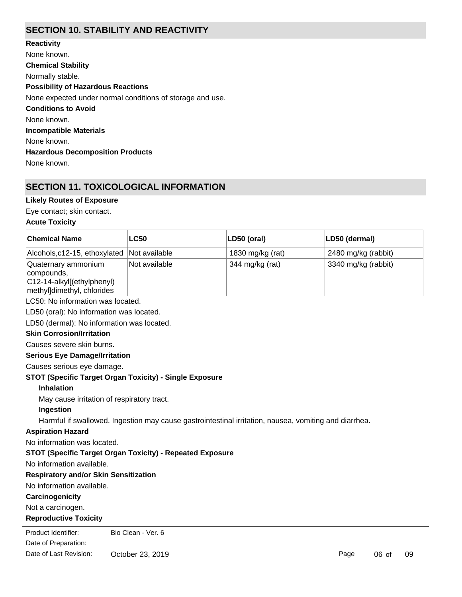# **SECTION 10. STABILITY AND REACTIVITY**

**Chemical Stability** Normally stable. **Conditions to Avoid** None known. **Incompatible Materials** None known. **Hazardous Decomposition Products** None known. **Possibility of Hazardous Reactions** None expected under normal conditions of storage and use. **Reactivity** None known.

# **SECTION 11. TOXICOLOGICAL INFORMATION**

### **Likely Routes of Exposure**

Eye contact; skin contact.

### **Acute Toxicity**

| <b>Chemical Name</b>                                                                                  | <b>LC50</b>                          | LD50 (oral)      | LD50 (dermal)       |  |  |
|-------------------------------------------------------------------------------------------------------|--------------------------------------|------------------|---------------------|--|--|
| Alcohols, c12-15, ethoxylated                                                                         | Not available                        | 1830 mg/kg (rat) | 2480 mg/kg (rabbit) |  |  |
| Quaternary ammonium<br>compounds,<br>C12-14-alkyl[(ethylphenyl)<br>methyl]dimethyl, chlorides         | Not available                        | 344 mg/kg (rat)  | 3340 mg/kg (rabbit) |  |  |
| LC50: No information was located.                                                                     |                                      |                  |                     |  |  |
| LD50 (oral): No information was located.                                                              |                                      |                  |                     |  |  |
| LD50 (dermal): No information was located.                                                            |                                      |                  |                     |  |  |
| <b>Skin Corrosion/Irritation</b>                                                                      |                                      |                  |                     |  |  |
| Causes severe skin burns.                                                                             |                                      |                  |                     |  |  |
|                                                                                                       | <b>Serious Eye Damage/Irritation</b> |                  |                     |  |  |
| Causes serious eye damage.                                                                            |                                      |                  |                     |  |  |
| STOT (Specific Target Organ Toxicity) - Single Exposure                                               |                                      |                  |                     |  |  |
| <b>Inhalation</b>                                                                                     |                                      |                  |                     |  |  |
| May cause irritation of respiratory tract.                                                            |                                      |                  |                     |  |  |
| Ingestion                                                                                             |                                      |                  |                     |  |  |
| Harmful if swallowed. Ingestion may cause gastrointestinal irritation, nausea, vomiting and diarrhea. |                                      |                  |                     |  |  |
| <b>Aspiration Hazard</b>                                                                              |                                      |                  |                     |  |  |
| No information was located.                                                                           |                                      |                  |                     |  |  |
| STOT (Specific Target Organ Toxicity) - Repeated Exposure                                             |                                      |                  |                     |  |  |
| No information available.                                                                             |                                      |                  |                     |  |  |
| <b>Respiratory and/or Skin Sensitization</b>                                                          |                                      |                  |                     |  |  |
| No information available.                                                                             |                                      |                  |                     |  |  |
| Carcinogenicity                                                                                       |                                      |                  |                     |  |  |
| Not a carcinogen.                                                                                     |                                      |                  |                     |  |  |
| <b>Reproductive Toxicity</b>                                                                          |                                      |                  |                     |  |  |
| Product Identifier:                                                                                   | Bio Clean - Ver. 6                   |                  |                     |  |  |
| Date of Preparation:                                                                                  |                                      |                  |                     |  |  |

Date of Last Revision: October 23, 2019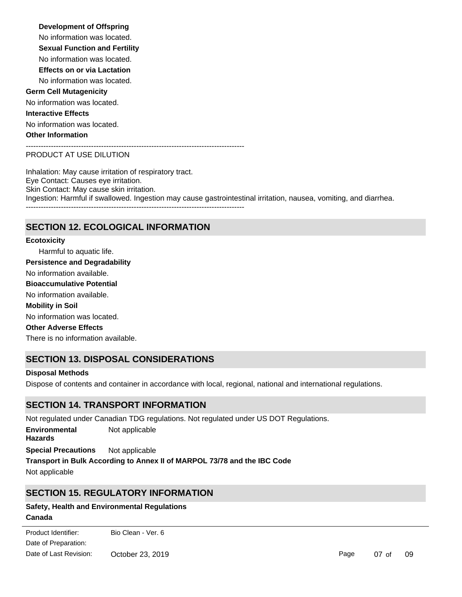#### **Development of Offspring**

No information was located.

**Sexual Function and Fertility**

No information was located.

**Effects on or via Lactation**

No information was located.

### **Germ Cell Mutagenicity**

No information was located.

### **Interactive Effects**

No information was located. **Other Information**

---------------------------------------------------------------------------------------

### PRODUCT AT USE DILUTION

Inhalation: May cause irritation of respiratory tract. Eye Contact: Causes eye irritation. Skin Contact: May cause skin irritation. Ingestion: Harmful if swallowed. Ingestion may cause gastrointestinal irritation, nausea, vomiting, and diarrhea.  $-$ 

# **SECTION 12. ECOLOGICAL INFORMATION**

# Harmful to aquatic life. No information available. No information was located. There is no information available. No information available. **Ecotoxicity Persistence and Degradability Mobility in Soil Other Adverse Effects Bioaccumulative Potential**

# **SECTION 13. DISPOSAL CONSIDERATIONS**

### **Disposal Methods**

Dispose of contents and container in accordance with local, regional, national and international regulations.

### **SECTION 14. TRANSPORT INFORMATION**

Not regulated under Canadian TDG regulations. Not regulated under US DOT Regulations. **Special Precautions** Not applicable **Environmental Hazards** Not applicable **Transport in Bulk According to Annex II of MARPOL 73/78 and the IBC Code** Not applicable

# **SECTION 15. REGULATORY INFORMATION**

### **Canada Safety, Health and Environmental Regulations**

**Domestic Substances List (DSL) / Non-Domestic Substances List (NDSL)** Date of Preparation: Product Identifier: Bio Clean - Ver. 6 Date of Last Revision: October 23, 2019

Page 07 of 09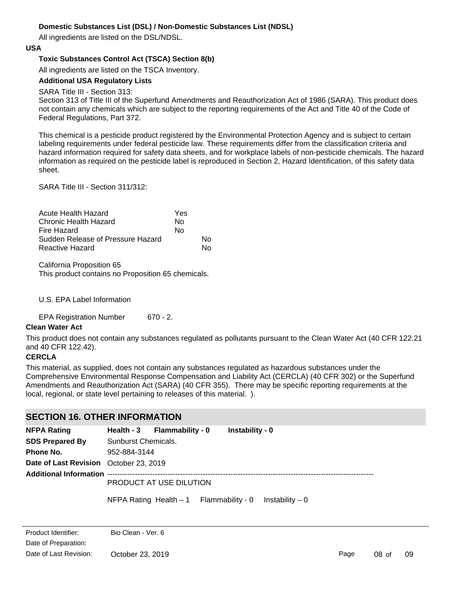### **Domestic Substances List (DSL) / Non-Domestic Substances List (NDSL)**

All ingredients are listed on the DSL/NDSL.

### **USA**

### **Toxic Substances Control Act (TSCA) Section 8(b)**

All ingredients are listed on the TSCA Inventory.

### **Additional USA Regulatory Lists**

### SARA Title III - Section 313:

Section 313 of Title III of the Superfund Amendments and Reauthorization Act of 1986 (SARA). This product does not contain any chemicals which are subject to the reporting requirements of the Act and Title 40 of the Code of Federal Regulations, Part 372.

This chemical is a pesticide product registered by the Environmental Protection Agency and is subject to certain labeling requirements under federal pesticide law. These requirements differ from the classification criteria and hazard information required for safety data sheets, and for workplace labels of non-pesticide chemicals. The hazard information as required on the pesticide label is reproduced in Section 2, Hazard Identification, of this safety data sheet.

SARA Title III - Section 311/312:

| Acute Health Hazard               | Yes |    |
|-----------------------------------|-----|----|
| Chronic Health Hazard             | N٥  |    |
| Fire Hazard                       | No  |    |
| Sudden Release of Pressure Hazard |     | N٥ |
| Reactive Hazard                   |     | N٥ |

California Proposition 65 This product contains no Proposition 65 chemicals.

### U.S. EPA Label Information

EPA Registration Number 670 - 2.

### **Clean Water Act**

This product does not contain any substances regulated as pollutants pursuant to the Clean Water Act (40 CFR 122.21 and 40 CFR 122.42).

### **CERCLA**

This material, as supplied, does not contain any substances regulated as hazardous substances under the Comprehensive Environmental Response Compensation and Liability Act (CERCLA) (40 CFR 302) or the Superfund Amendments and Reauthorization Act (SARA) (40 CFR 355). There may be specific reporting requirements at the local, regional, or state level pertaining to releases of this material. ).

### **SECTION 16. OTHER INFORMATION**

| <b>NFPA Rating</b>                     | Health - 3 Flammability - 0 |  | Instability - 0                          |                  |
|----------------------------------------|-----------------------------|--|------------------------------------------|------------------|
| <b>SDS Prepared By</b>                 | Sunburst Chemicals.         |  |                                          |                  |
| Phone No.                              | 952-884-3144                |  |                                          |                  |
| Date of Last Revision October 23, 2019 |                             |  |                                          |                  |
|                                        |                             |  |                                          |                  |
|                                        | PRODUCT AT USE DILUTION     |  |                                          |                  |
|                                        |                             |  | NFPA Rating Health $-1$ Flammability - 0 | Instability $-0$ |
|                                        |                             |  |                                          |                  |
| Product Identifier:                    | Bio Clean - Ver. 6          |  |                                          |                  |